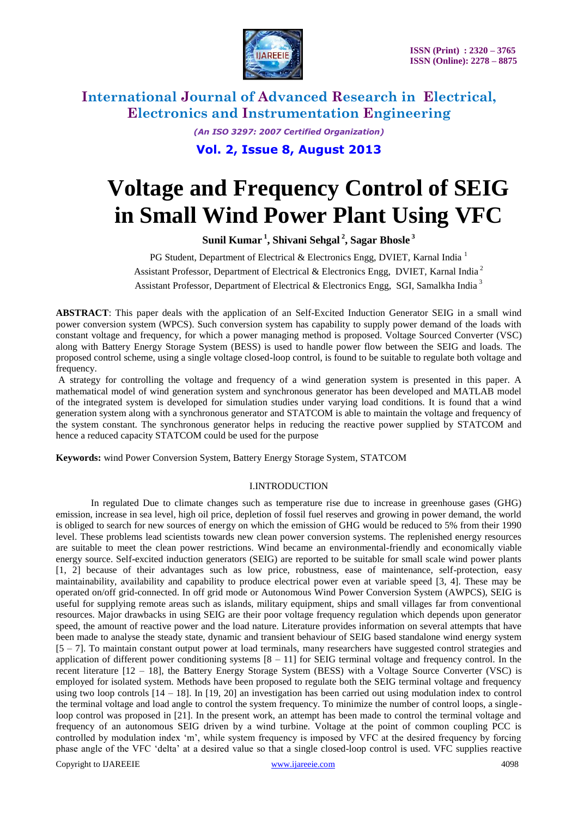

*(An ISO 3297: 2007 Certified Organization)*

**Vol. 2, Issue 8, August 2013**

# **Voltage and Frequency Control of SEIG in Small Wind Power Plant Using VFC**

**Sunil Kumar <sup>1</sup> , Shivani Sehgal <sup>2</sup> , Sagar Bhosle <sup>3</sup>**

PG Student, Department of Electrical & Electronics Engg, DVIET, Karnal India<sup>1</sup> Assistant Professor, Department of Electrical & Electronics Engg, DVIET, Karnal India <sup>2</sup> Assistant Professor, Department of Electrical & Electronics Engg, SGI, Samalkha India<sup>3</sup>

**ABSTRACT**: This paper deals with the application of an Self-Excited Induction Generator SEIG in a small wind power conversion system (WPCS). Such conversion system has capability to supply power demand of the loads with constant voltage and frequency, for which a power managing method is proposed. Voltage Sourced Converter (VSC) along with Battery Energy Storage System (BESS) is used to handle power flow between the SEIG and loads. The proposed control scheme, using a single voltage closed-loop control, is found to be suitable to regulate both voltage and frequency.

A strategy for controlling the voltage and frequency of a wind generation system is presented in this paper. A mathematical model of wind generation system and synchronous generator has been developed and MATLAB model of the integrated system is developed for simulation studies under varying load conditions. It is found that a wind generation system along with a synchronous generator and STATCOM is able to maintain the voltage and frequency of the system constant. The synchronous generator helps in reducing the reactive power supplied by STATCOM and hence a reduced capacity STATCOM could be used for the purpose

**Keywords:** wind Power Conversion System, Battery Energy Storage System, STATCOM

#### I.INTRODUCTION

Copyright to IJAREEIE [www.ijareeie.com](http://www.ijareeie.com/) 4098 In regulated Due to climate changes such as temperature rise due to increase in greenhouse gases (GHG) emission, increase in sea level, high oil price, depletion of fossil fuel reserves and growing in power demand, the world is obliged to search for new sources of energy on which the emission of GHG would be reduced to 5% from their 1990 level. These problems lead scientists towards new clean power conversion systems. The replenished energy resources are suitable to meet the clean power restrictions. Wind became an environmental-friendly and economically viable energy source. Self-excited induction generators (SEIG) are reported to be suitable for small scale wind power plants [1, 2] because of their advantages such as low price, robustness, ease of maintenance, self-protection, easy maintainability, availability and capability to produce electrical power even at variable speed [3, 4]. These may be operated on/off grid-connected. In off grid mode or Autonomous Wind Power Conversion System (AWPCS), SEIG is useful for supplying remote areas such as islands, military equipment, ships and small villages far from conventional resources. Major drawbacks in using SEIG are their poor voltage frequency regulation which depends upon generator speed, the amount of reactive power and the load nature. Literature provides information on several attempts that have been made to analyse the steady state, dynamic and transient behaviour of SEIG based standalone wind energy system [5 – 7]. To maintain constant output power at load terminals, many researchers have suggested control strategies and application of different power conditioning systems [8 – 11] for SEIG terminal voltage and frequency control. In the recent literature [12 – 18], the Battery Energy Storage System (BESS) with a Voltage Source Converter (VSC) is employed for isolated system. Methods have been proposed to regulate both the SEIG terminal voltage and frequency using two loop controls  $[14 - 18]$ . In  $[19, 20]$  an investigation has been carried out using modulation index to control the terminal voltage and load angle to control the system frequency. To minimize the number of control loops, a singleloop control was proposed in [21]. In the present work, an attempt has been made to control the terminal voltage and frequency of an autonomous SEIG driven by a wind turbine. Voltage at the point of common coupling PCC is controlled by modulation index 'm', while system frequency is imposed by VFC at the desired frequency by forcing phase angle of the VFC 'delta' at a desired value so that a single closed-loop control is used. VFC supplies reactive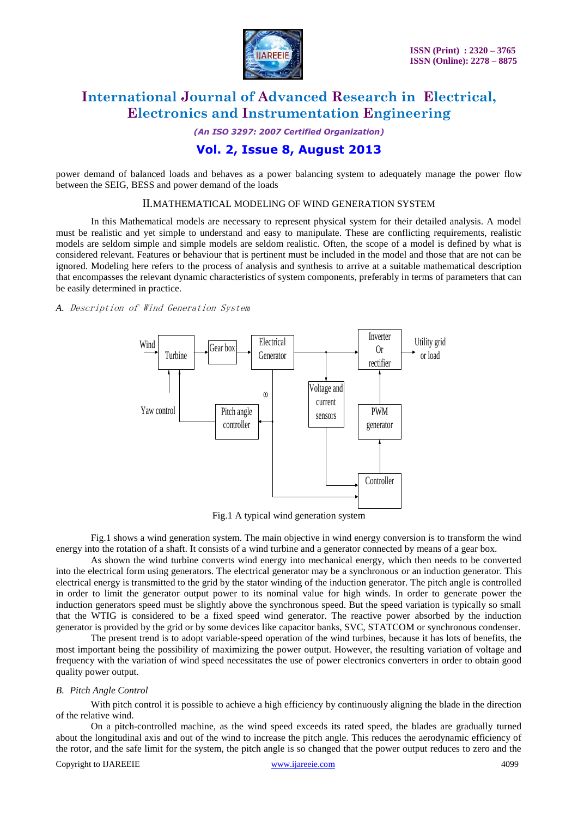

*(An ISO 3297: 2007 Certified Organization)*

### **Vol. 2, Issue 8, August 2013**

power demand of balanced loads and behaves as a power balancing system to adequately manage the power flow between the SEIG, BESS and power demand of the loads

#### II.MATHEMATICAL MODELING OF WIND GENERATION SYSTEM

In this Mathematical models are necessary to represent physical system for their detailed analysis. A model must be realistic and yet simple to understand and easy to manipulate. These are conflicting requirements, realistic models are seldom simple and simple models are seldom realistic. Often, the scope of a model is defined by what is considered relevant. Features or behaviour that is pertinent must be included in the model and those that are not can be ignored. Modeling here refers to the process of analysis and synthesis to arrive at a suitable mathematical description that encompasses the relevant dynamic characteristics of system components, preferably in terms of parameters that can be easily determined in practice.

#### *A.* Description of Wind Generation System



Fig.1 A typical wind generation system

Fig.1 shows a wind generation system. The main objective in wind energy conversion is to transform the wind energy into the rotation of a shaft. It consists of a wind turbine and a generator connected by means of a gear box.

As shown the wind turbine converts wind energy into mechanical energy, which then needs to be converted into the electrical form using generators. The electrical generator may be a synchronous or an induction generator. This electrical energy is transmitted to the grid by the stator winding of the induction generator. The pitch angle is controlled in order to limit the generator output power to its nominal value for high winds. In order to generate power the induction generators speed must be slightly above the synchronous speed. But the speed variation is typically so small that the WTIG is considered to be a fixed speed wind generator. The reactive power absorbed by the induction generator is provided by the grid or by some devices like capacitor banks, SVC, STATCOM or synchronous condenser.

The present trend is to adopt variable-speed operation of the wind turbines, because it has lots of benefits, the most important being the possibility of maximizing the power output. However, the resulting variation of voltage and frequency with the variation of wind speed necessitates the use of power electronics converters in order to obtain good quality power output.

#### *B. Pitch Angle Control*

With pitch control it is possible to achieve a high efficiency by continuously aligning the blade in the direction of the relative wind.

Copyright to IJAREEIE [www.ijareeie.com](http://www.ijareeie.com/) 4099 On a pitch-controlled machine, as the wind speed exceeds its rated speed, the blades are gradually turned about the longitudinal axis and out of the wind to increase the pitch angle. This reduces the aerodynamic efficiency of the rotor, and the safe limit for the system, the pitch angle is so changed that the power output reduces to zero and the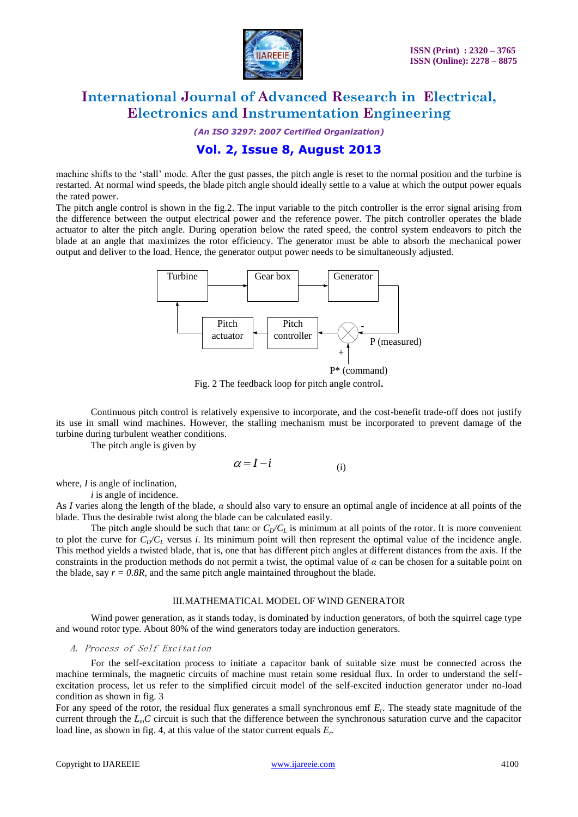

*(An ISO 3297: 2007 Certified Organization)*

### **Vol. 2, Issue 8, August 2013**

machine shifts to the 'stall' mode. After the gust passes, the pitch angle is reset to the normal position and the turbine is restarted. At normal wind speeds, the blade pitch angle should ideally settle to a value at which the output power equals the rated power.

The pitch angle control is shown in the fig.2. The input variable to the pitch controller is the error signal arising from the difference between the output electrical power and the reference power. The pitch controller operates the blade actuator to alter the pitch angle. During operation below the rated speed, the control system endeavors to pitch the blade at an angle that maximizes the rotor efficiency. The generator must be able to absorb the mechanical power output and deliver to the load. Hence, the generator output power needs to be simultaneously adjusted.



Fig. 2 The feedback loop for pitch angle control**.**

Continuous pitch control is relatively expensive to incorporate, and the cost-benefit trade-off does not justify its use in small wind machines. However, the stalling mechanism must be incorporated to prevent damage of the turbine during turbulent weather conditions.

The pitch angle is given by

$$
\alpha = I - i \tag{i}
$$

where, *I* is angle of inclination,

*i* is angle of incidence.

As *I* varies along the length of the blade, *α* should also vary to ensure an optimal angle of incidence at all points of the blade. Thus the desirable twist along the blade can be calculated easily.

The pitch angle should be such that tan*ε* or  $C_D/C_L$  is minimum at all points of the rotor. It is more convenient to plot the curve for  $C_p/C_l$  versus *i*. Its minimum point will then represent the optimal value of the incidence angle. This method yields a twisted blade, that is, one that has different pitch angles at different distances from the axis. If the constraints in the production methods do not permit a twist, the optimal value of  $\alpha$  can be chosen for a suitable point on the blade, say  $r = 0.8R$ , and the same pitch angle maintained throughout the blade.

#### III.MATHEMATICAL MODEL OF WIND GENERATOR

Wind power generation, as it stands today, is dominated by induction generators, of both the squirrel cage type and wound rotor type. About 80% of the wind generators today are induction generators.

#### A. Process of Self Excitation

For the self-excitation process to initiate a capacitor bank of suitable size must be connected across the machine terminals, the magnetic circuits of machine must retain some residual flux. In order to understand the selfexcitation process, let us refer to the simplified circuit model of the self-excited induction generator under no-load condition as shown in fig. 3

For any speed of the rotor, the residual flux generates a small synchronous emf *E<sup>r</sup>* . The steady state magnitude of the current through the *LmC* circuit is such that the difference between the synchronous saturation curve and the capacitor load line, as shown in fig. 4, at this value of the stator current equals *E<sup>r</sup>* .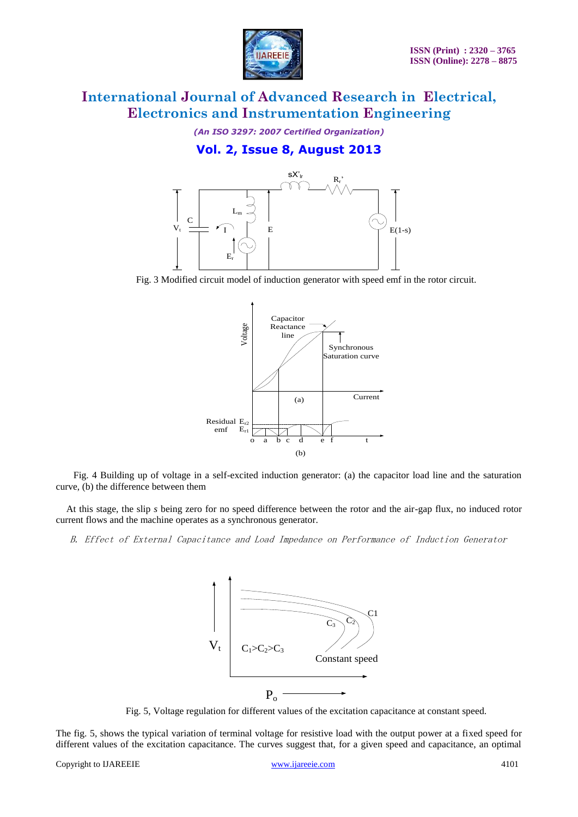

*(An ISO 3297: 2007 Certified Organization)*

### **Vol. 2, Issue 8, August 2013**



Fig. 3 Modified circuit model of induction generator with speed emf in the rotor circuit.



 Fig. 4 Building up of voltage in a self-excited induction generator: (a) the capacitor load line and the saturation curve, (b) the difference between them

At this stage, the slip *s* being zero for no speed difference between the rotor and the air-gap flux, no induced rotor current flows and the machine operates as a synchronous generator.

B. Effect of External Capacitance and Load Impedance on Performance of Induction Generator



Fig. 5, Voltage regulation for different values of the excitation capacitance at constant speed.

The fig. 5, shows the typical variation of terminal voltage for resistive load with the output power at a fixed speed for different values of the excitation capacitance. The curves suggest that, for a given speed and capacitance, an optimal

Copyright to IJAREEIE [www.ijareeie.com](http://www.ijareeie.com/) 4101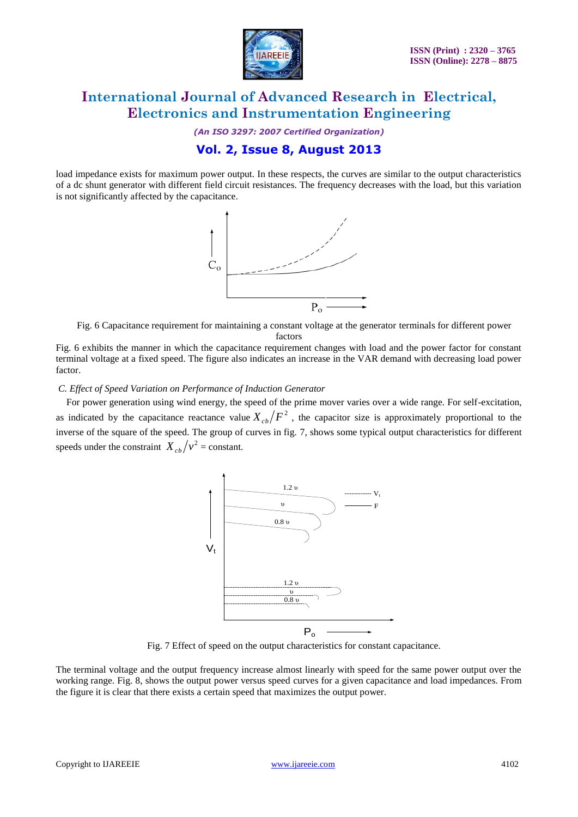

*(An ISO 3297: 2007 Certified Organization)*

### **Vol. 2, Issue 8, August 2013**

load impedance exists for maximum power output. In these respects, the curves are similar to the output characteristics of a dc shunt generator with different field circuit resistances. The frequency decreases with the load, but this variation is not significantly affected by the capacitance.



Fig. 6 Capacitance requirement for maintaining a constant voltage at the generator terminals for different power

factors

Fig. 6 exhibits the manner in which the capacitance requirement changes with load and the power factor for constant terminal voltage at a fixed speed. The figure also indicates an increase in the VAR demand with decreasing load power factor.

#### *C. Effect of Speed Variation on Performance of Induction Generator*

For power generation using wind energy, the speed of the prime mover varies over a wide range. For self-excitation, as indicated by the capacitance reactance value  $X_{cb}/F^2$ , the capacitor size is approximately proportional to the inverse of the square of the speed. The group of curves in fig. 7, shows some typical output characteristics for different speeds under the constraint  $X_{cb}/v^2$  = constant.



Fig. 7 Effect of speed on the output characteristics for constant capacitance.

The terminal voltage and the output frequency increase almost linearly with speed for the same power output over the working range. Fig. 8, shows the output power versus speed curves for a given capacitance and load impedances. From the figure it is clear that there exists a certain speed that maximizes the output power.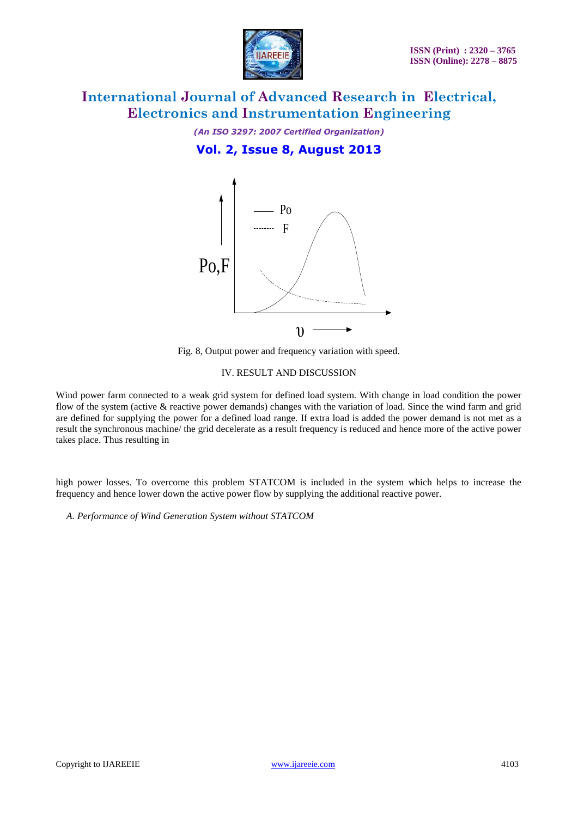

*(An ISO 3297: 2007 Certified Organization)*

### **Vol. 2, Issue 8, August 2013**



Fig. 8, Output power and frequency variation with speed.

#### IV. RESULT AND DISCUSSION

Wind power farm connected to a weak grid system for defined load system. With change in load condition the power flow of the system (active & reactive power demands) changes with the variation of load. Since the wind farm and grid are defined for supplying the power for a defined load range. If extra load is added the power demand is not met as a result the synchronous machine/ the grid decelerate as a result frequency is reduced and hence more of the active power takes place. Thus resulting in

high power losses. To overcome this problem STATCOM is included in the system which helps to increase the frequency and hence lower down the active power flow by supplying the additional reactive power.

*A. Performance of Wind Generation System without STATCOM*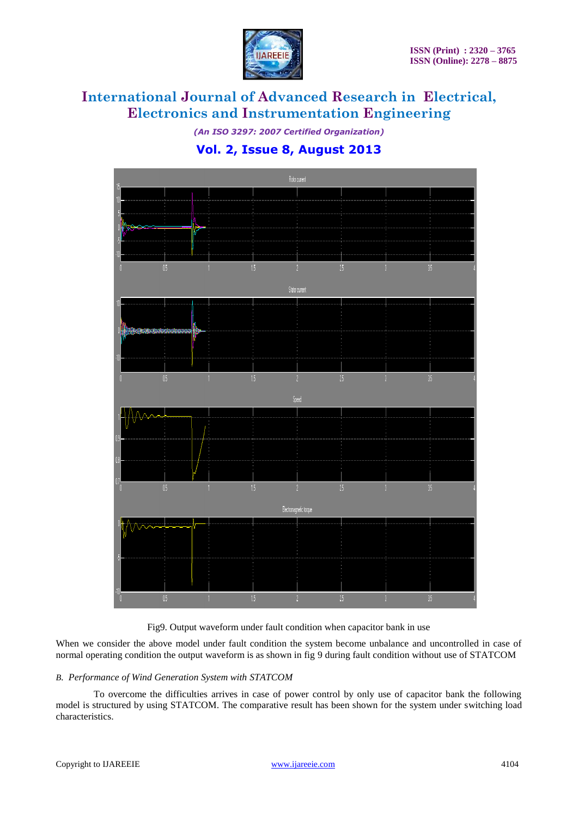

*(An ISO 3297: 2007 Certified Organization)*

### **Vol. 2, Issue 8, August 2013**



Fig9. Output waveform under fault condition when capacitor bank in use

When we consider the above model under fault condition the system become unbalance and uncontrolled in case of normal operating condition the output waveform is as shown in fig 9 during fault condition without use of STATCOM

#### *B. Performance of Wind Generation System with STATCOM*

To overcome the difficulties arrives in case of power control by only use of capacitor bank the following model is structured by using STATCOM. The comparative result has been shown for the system under switching load characteristics.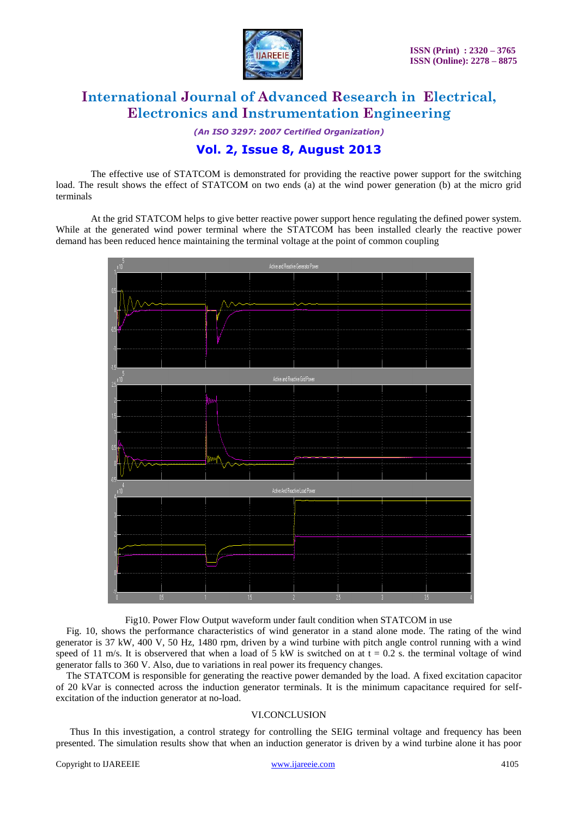![](_page_7_Picture_0.jpeg)

*(An ISO 3297: 2007 Certified Organization)*

### **Vol. 2, Issue 8, August 2013**

The effective use of STATCOM is demonstrated for providing the reactive power support for the switching load. The result shows the effect of STATCOM on two ends (a) at the wind power generation (b) at the micro grid terminals

At the grid STATCOM helps to give better reactive power support hence regulating the defined power system. While at the generated wind power terminal where the STATCOM has been installed clearly the reactive power demand has been reduced hence maintaining the terminal voltage at the point of common coupling

![](_page_7_Figure_7.jpeg)

Fig10. Power Flow Output waveform under fault condition when STATCOM in use

Fig. 10, shows the performance characteristics of wind generator in a stand alone mode. The rating of the wind generator is 37 kW, 400 V, 50 Hz, 1480 rpm, driven by a wind turbine with pitch angle control running with a wind speed of 11 m/s. It is observered that when a load of 5 kW is switched on at  $t = 0.2$  s. the terminal voltage of wind generator falls to 360 V. Also, due to variations in real power its frequency changes.

The STATCOM is responsible for generating the reactive power demanded by the load. A fixed excitation capacitor of 20 kVar is connected across the induction generator terminals. It is the minimum capacitance required for selfexcitation of the induction generator at no-load.

#### VI.CONCLUSION

Thus In this investigation, a control strategy for controlling the SEIG terminal voltage and frequency has been presented. The simulation results show that when an induction generator is driven by a wind turbine alone it has poor

#### Copyright to IJAREEIE [www.ijareeie.com](http://www.ijareeie.com/) 4105